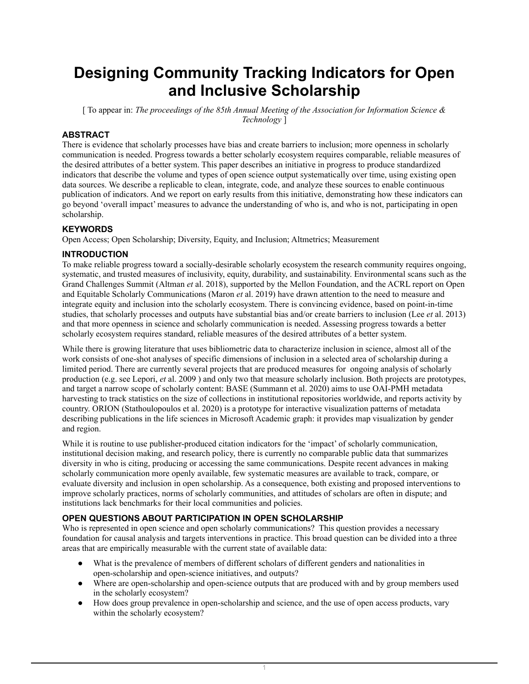# **Designing Community Tracking Indicators for Open and Inclusive Scholarship**

[ To appear in: *The proceedings of the 85th Annual Meeting of the Association for Information Science & Technology* ]

# **ABSTRACT**

There is evidence that scholarly processes have bias and create barriers to inclusion; more openness in scholarly communication is needed. Progress towards a better scholarly ecosystem requires comparable, reliable measures of the desired attributes of a better system. This paper describes an initiative in progress to produce standardized indicators that describe the volume and types of open science output systematically over time, using existing open data sources. We describe a replicable to clean, integrate, code, and analyze these sources to enable continuous publication of indicators. And we report on early results from this initiative, demonstrating how these indicators can go beyond 'overall impact' measures to advance the understanding of who is, and who is not, participating in open scholarship.

## **KEYWORDS**

Open Access; Open Scholarship; Diversity, Equity, and Inclusion; Altmetrics; Measurement

### **INTRODUCTION**

To make reliable progress toward a socially-desirable scholarly ecosystem the research community requires ongoing, systematic, and trusted measures of inclusivity, equity, durability, and sustainability. Environmental scans such as the Grand Challenges Summit (Altman *et* al. 2018), supported by the Mellon Foundation, and the ACRL report on Open and Equitable Scholarly Communications (Maron *et* al. 2019) have drawn attention to the need to measure and integrate equity and inclusion into the scholarly ecosystem. There is convincing evidence, based on point-in-time studies, that scholarly processes and outputs have substantial bias and/or create barriers to inclusion (Lee *et* al. 2013) and that more openness in science and scholarly communication is needed. Assessing progress towards a better scholarly ecosystem requires standard, reliable measures of the desired attributes of a better system.

While there is growing literature that uses bibliometric data to characterize inclusion in science, almost all of the work consists of one-shot analyses of specific dimensions of inclusion in a selected area of scholarship during a limited period. There are currently several projects that are produced measures for ongoing analysis of scholarly production (e.g. see Lepori, *et* al. 2009 ) and only two that measure scholarly inclusion. Both projects are prototypes, and target a narrow scope of scholarly content: BASE (Summann et al. 2020) aims to use OAI-PMH metadata harvesting to track statistics on the size of collections in institutional repositories worldwide, and reports activity by country. ORION (Stathoulopoulos et al. 2020) is a prototype for interactive visualization patterns of metadata describing publications in the life sciences in Microsoft Academic graph: it provides map visualization by gender and region.

While it is routine to use publisher-produced citation indicators for the 'impact' of scholarly communication, institutional decision making, and research policy, there is currently no comparable public data that summarizes diversity in who is citing, producing or accessing the same communications. Despite recent advances in making scholarly communication more openly available, few systematic measures are available to track, compare, or evaluate diversity and inclusion in open scholarship. As a consequence, both existing and proposed interventions to improve scholarly practices, norms of scholarly communities, and attitudes of scholars are often in dispute; and institutions lack benchmarks for their local communities and policies.

## **OPEN QUESTIONS ABOUT PARTICIPATION IN OPEN SCHOLARSHIP**

Who is represented in open science and open scholarly communications? This question provides a necessary foundation for causal analysis and targets interventions in practice. This broad question can be divided into a three areas that are empirically measurable with the current state of available data:

- What is the prevalence of members of different scholars of different genders and nationalities in open-scholarship and open-science initiatives, and outputs?
- Where are open-scholarship and open-science outputs that are produced with and by group members used in the scholarly ecosystem?
- How does group prevalence in open-scholarship and science, and the use of open access products, vary within the scholarly ecosystem?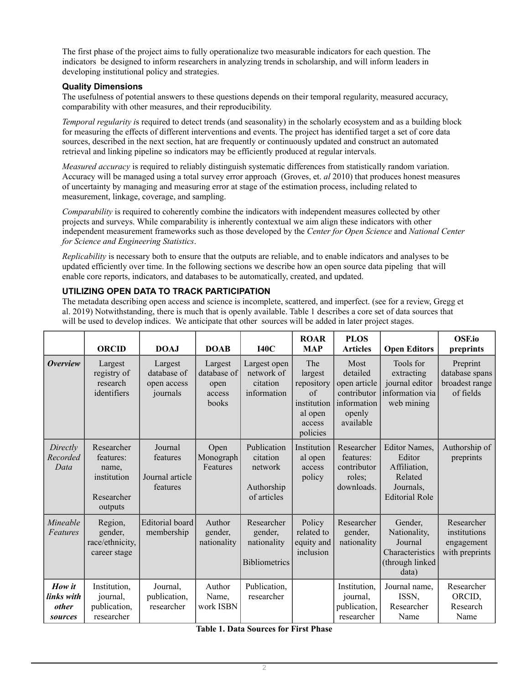The first phase of the project aims to fully operationalize two measurable indicators for each question. The indicators be designed to inform researchers in analyzing trends in scholarship, and will inform leaders in developing institutional policy and strategies.

## **Quality Dimensions**

The usefulness of potential answers to these questions depends on their temporal regularity, measured accuracy, comparability with other measures, and their reproducibility.

*Temporal regularity i*s required to detect trends (and seasonality) in the scholarly ecosystem and as a building block for measuring the effects of different interventions and events. The project has identified target a set of core data sources, described in the next section, hat are frequently or continuously updated and construct an automated retrieval and linking pipeline so indicators may be efficiently produced at regular intervals.

*Measured accuracy* is required to reliably distinguish systematic differences from statistically random variation. Accuracy will be managed using a total survey error approach (Groves, et. *al* 2010) that produces honest measures of uncertainty by managing and measuring error at stage of the estimation process, including related to measurement, linkage, coverage, and sampling.

*Comparability* is required to coherently combine the indicators with independent measures collected by other projects and surveys. While comparability is inherently contextual we aim align these indicators with other independent measurement frameworks such as those developed by the *Center for Open Science* and *National Center for Science and Engineering Statistics*.

*Replicability* is necessary both to ensure that the outputs are reliable, and to enable indicators and analyses to be updated efficiently over time. In the following sections we describe how an open source data pipeling that will enable core reports, indicators, and databases to be automatically, created, and updated.

## **UTILIZING OPEN DATA TO TRACK PARTICIPATION**

The metadata describing open access and science is incomplete, scattered, and imperfect. (see for a review, Gregg et al. 2019) Notwithstanding, there is much that is openly available. Table 1 describes a core set of data sources that will be used to develop indices. We anticipate that other sources will be added in later project stages.

|                                                 | <b>ORCID</b>                                                             | DOAJ                                               | <b>DOAB</b>                                       | <b>I40C</b>                                                     | <b>ROAR</b><br><b>MAP</b>                                                                | <b>PLOS</b><br><b>Articles</b>                                                        | <b>Open Editors</b>                                                                             | <b>OSF.io</b><br>preprints                                 |
|-------------------------------------------------|--------------------------------------------------------------------------|----------------------------------------------------|---------------------------------------------------|-----------------------------------------------------------------|------------------------------------------------------------------------------------------|---------------------------------------------------------------------------------------|-------------------------------------------------------------------------------------------------|------------------------------------------------------------|
| <b>Overview</b>                                 | Largest<br>registry of<br>research<br>identifiers                        | Largest<br>database of<br>open access<br>journals  | Largest<br>database of<br>open<br>access<br>books | Largest open<br>network of<br>citation<br>information           | The<br>largest<br>repository<br>$\sigma$<br>institution<br>al open<br>access<br>policies | Most<br>detailed<br>open article<br>contributor<br>information<br>openly<br>available | Tools for<br>extracting<br>journal editor<br>information via<br>web mining                      | Preprint<br>database spans<br>broadest range<br>of fields  |
| Directly<br>Recorded<br>Data                    | Researcher<br>features:<br>name,<br>institution<br>Researcher<br>outputs | Journal<br>features<br>Journal article<br>features | Open<br>Monograph<br>Features                     | Publication<br>citation<br>network<br>Authorship<br>of articles | Institution<br>al open<br>access<br>policy                                               | Researcher<br>features:<br>contributor<br>roles;<br>downloads.                        | <b>Editor Names.</b><br>Editor<br>Affiliation,<br>Related<br>Journals,<br><b>Editorial Role</b> | Authorship of<br>preprints                                 |
| Mineable<br>Features                            | Region,<br>gender,<br>race/ethnicity,<br>career stage                    | <b>Editorial</b> board<br>membership               | Author<br>gender,<br>nationality                  | Researcher<br>gender,<br>nationality<br><b>Bibliometrics</b>    | Policy<br>related to<br>equity and<br>inclusion                                          | Researcher<br>gender,<br>nationality                                                  | Gender,<br>Nationality,<br>Journal<br>Characteristics<br>(through linked<br>data)               | Researcher<br>institutions<br>engagement<br>with preprints |
| How it<br>links with<br><i>other</i><br>sources | Institution,<br>journal,<br>publication,<br>researcher                   | Journal,<br>publication,<br>researcher             | Author<br>Name,<br>work ISBN                      | Publication,<br>researcher                                      |                                                                                          | Institution,<br>journal,<br>publication,<br>researcher                                | Journal name,<br>ISSN,<br>Researcher<br>Name                                                    | Researcher<br>ORCID,<br>Research<br>Name                   |

#### **Table 1. Data Sources for First Phase**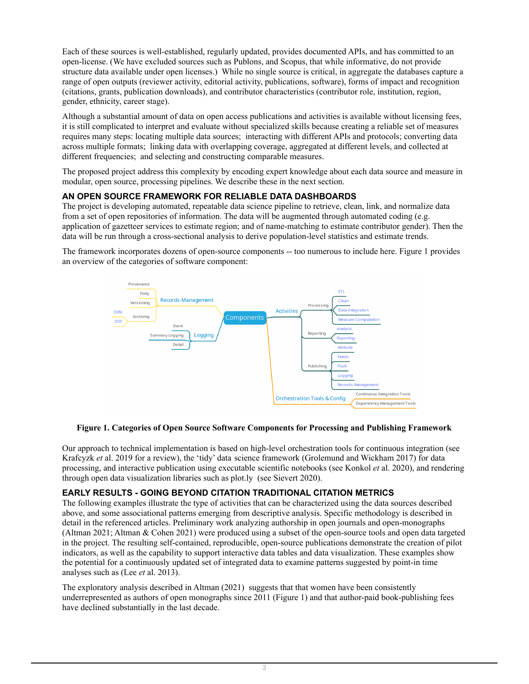Each of these sources is well-established, regularly updated, provides documented APIs, and has committed to an open-license. (We have excluded sources such as Publons, and Scopus, that while informative, do not provide structure data available under open licenses.) While no single source is critical, in aggregate the databases capture a range of open outputs (reviewer activity, editorial activity, publications, software), forms of impact and recognition (citations, grants, publication downloads), and contributor characteristics (contributor role, institution, region, gender, ethnicity, career stage).

Although a substantial amount of data on open access publications and activities is available without licensing fees, it is still complicated to interpret and evaluate without specialized skills because creating a reliable set of measures requires many steps: locating multiple data sources; interacting with different APIs and protocols; converting data across multiple formats; linking data with overlapping coverage, aggregated at different levels, and collected at different frequencies; and selecting and constructing comparable measures.

The proposed project address this complexity by encoding expert knowledge about each data source and measure in modular, open source, processing pipelines. We describe these in the next section.

## **AN OPEN SOURCE FRAMEWORK FOR RELIABLE DATA DASHBOARDS**

The project is developing automated, repeatable data science pipeline to retrieve, clean, link, and normalize data from a set of open repositories of information. The data will be augmented through automated coding (e.g. application of gazetteer services to estimate region; and of name-matching to estimate contributor gender). Then the data will be run through a cross-sectional analysis to derive population-level statistics and estimate trends.

The framework incorporates dozens of open-source components -- too numerous to include here. Figure 1 provides an overview of the categories of software component:



### **Figure 1. Categories of Open Source Software Components for Processing and Publishing Framework**

Our approach to technical implementation is based on high-level orchestration tools for continuous integration (see Krafcyzk *et* al. 2019 for a review), the 'tidy' data science framework (Grolemund and Wickham 2017) for data processing, and interactive publication using executable scientific notebooks (see Konkol *et* al. 2020), and rendering through open data visualization libraries such as plot.ly (see Sievert 2020).

### **EARLY RESULTS - GOING BEYOND CITATION TRADITIONAL CITATION METRICS**

The following examples illustrate the type of activities that can be characterized using the data sources described above, and some associational patterns emerging from descriptive analysis. Specific methodology is described in detail in the referenced articles. Preliminary work analyzing authorship in open journals and open-monographs (Altman 2021; Altman & Cohen 2021) were produced using a subset of the open-source tools and open data targeted in the project. The resulting self-contained, reproducible, open-source publications demonstrate the creation of pilot indicators, as well as the capability to support interactive data tables and data visualization. These examples show the potential for a continuously updated set of integrated data to examine patterns suggested by point-in time analyses such as (Lee *et* al. 2013).

The exploratory analysis described in Altman (2021) suggests that that women have been consistently underrepresented as authors of open monographs since 2011 (Figure 1) and that author-paid book-publishing fees have declined substantially in the last decade.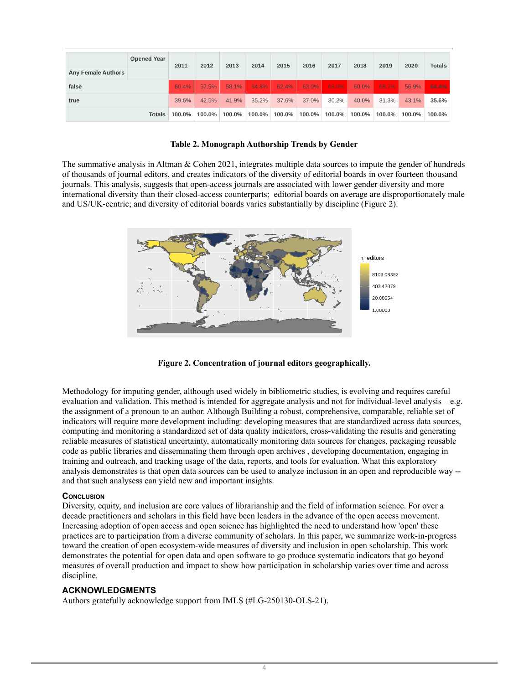|                           | <b>Opened Year</b> | 2011   | 2012   | 2013   | 2014   | 2015   | 2016   | 2017     | 2018   | 2019   | 2020   | <b>Totals</b> |
|---------------------------|--------------------|--------|--------|--------|--------|--------|--------|----------|--------|--------|--------|---------------|
| <b>Any Female Authors</b> |                    |        |        |        |        |        |        |          |        |        |        |               |
| false                     |                    | 60.4%  | 57.5%  | 58.1%  | 64.8%  | 62.4%  | 63.0%  | $69.8\%$ | 60.0%  | 68.7%  | 56.9%  | 64.4%         |
| true                      |                    | 39.6%  | 42.5%  | 41.9%  | 35.2%  | 37.6%  | 37.0%  | 30.2%    | 40.0%  | 31.3%  | 43.1%  | 35.6%         |
|                           | Totals             | 100.0% | 100.0% | 100.0% | 100.0% | 100.0% | 100.0% | 100.0%   | 100.0% | 100.0% | 100.0% | 100.0%        |

#### **Table 2. Monograph Authorship Trends by Gender**

The summative analysis in Altman & Cohen 2021, integrates multiple data sources to impute the gender of hundreds of thousands of journal editors, and creates indicators of the diversity of editorial boards in over fourteen thousand journals. This analysis, suggests that open-access journals are associated with lower gender diversity and more international diversity than their closed-access counterparts; editorial boards on average are disproportionately male and US/UK-centric; and diversity of editorial boards varies substantially by discipline (Figure 2).



**Figure 2. Concentration of journal editors geographically.**

Methodology for imputing gender, although used widely in bibliometric studies, is evolving and requires careful evaluation and validation. This method is intended for aggregate analysis and not for individual-level analysis – e.g. the assignment of a pronoun to an author. Although Building a robust, comprehensive, comparable, reliable set of indicators will require more development including: developing measures that are standardized across data sources, computing and monitoring a standardized set of data quality indicators, cross-validating the results and generating reliable measures of statistical uncertainty, automatically monitoring data sources for changes, packaging reusable code as public libraries and disseminating them through open archives , developing documentation, engaging in training and outreach, and tracking usage of the data, reports, and tools for evaluation. What this exploratory analysis demonstrates is that open data sources can be used to analyze inclusion in an open and reproducible way - and that such analysess can yield new and important insights.

### **CONCLUSION**

Diversity, equity, and inclusion are core values of librarianship and the field of information science. For over a decade practitioners and scholars in this field have been leaders in the advance of the open access movement. Increasing adoption of open access and open science has highlighted the need to understand how 'open' these practices are to participation from a diverse community of scholars. In this paper, we summarize work-in-progress toward the creation of open ecosystem-wide measures of diversity and inclusion in open scholarship. This work demonstrates the potential for open data and open software to go produce systematic indicators that go beyond measures of overall production and impact to show how participation in scholarship varies over time and across discipline.

### **ACKNOWLEDGMENTS**

Authors gratefully acknowledge support from IMLS (#LG-250130-OLS-21).